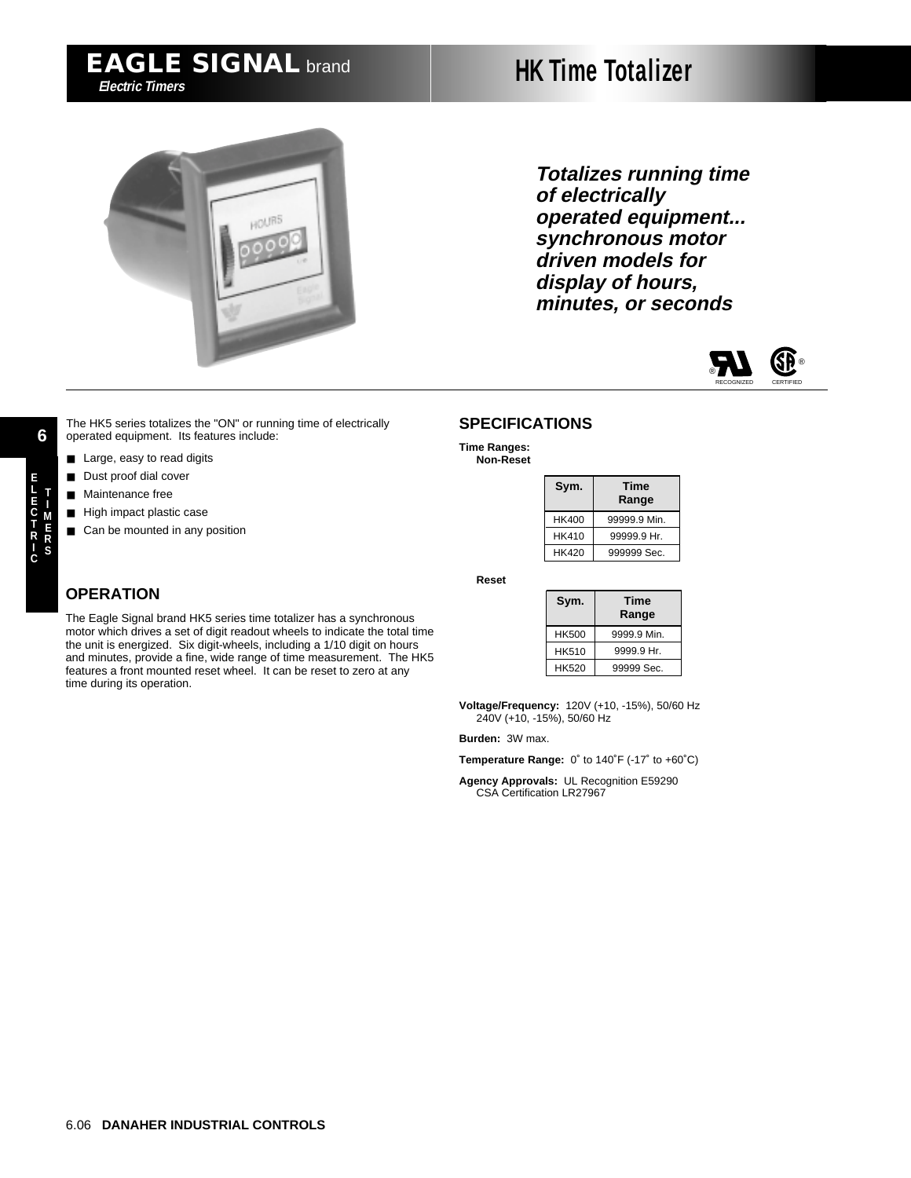# **HK Time Totalizer**



**Totalizes running time of electrically operated equipment... synchronous motor driven models for display of hours, minutes, or seconds**



The HK5 series totalizes the "ON" or running time of electrically operated equipment. Its features include:

- Large, easy to read digits
- Dust proof dial cover
- Maintenance free
- High impact plastic case
- Can be mounted in any position

#### **SPECIFICATIONS**

**Time Ranges: Non-Reset**

| Sym.  | Time<br>Range |
|-------|---------------|
| HK400 | 99999.9 Min.  |
| HK410 | 99999.9 Hr.   |
| HK420 | 999999 Sec.   |

**Reset**

| Sym.  | Time<br>Range |
|-------|---------------|
| HK500 | 9999.9 Min.   |
| HK510 | 9999.9 Hr.    |
| HK520 | 99999 Sec.    |

**Voltage/Frequency:** 120V (+10, -15%), 50/60 Hz 240V (+10, -15%), 50/60 Hz

**Burden:** 3W max.

**Temperature Range:** 0˚ to 140˚F (-17˚ to +60˚C)

**Agency Approvals:** UL Recognition E59290 CSA Certification LR27967

**6**

## **OPERATION**

The Eagle Signal brand HK5 series time totalizer has a synchronous motor which drives a set of digit readout wheels to indicate the total time the unit is energized. Six digit-wheels, including a 1/10 digit on hours and minutes, provide a fine, wide range of time measurement. The HK5 features a front mounted reset wheel. It can be reset to zero at any time during its operation.